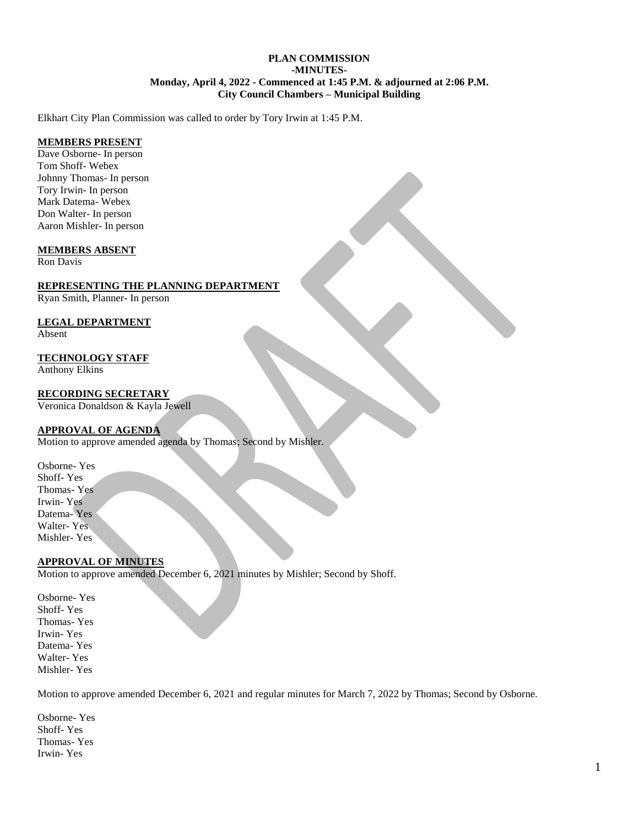#### **PLAN COMMISSION -MINUTES-Monday, April 4, 2022 - Commenced at 1:45 P.M. & adjourned at 2:06 P.M. City Council Chambers – Municipal Building**

Elkhart City Plan Commission was called to order by Tory Irwin at 1:45 P.M.

### **MEMBERS PRESENT**

Dave Osborne- In person Tom Shoff- Webex Johnny Thomas- In person Tory Irwin- In person Mark Datema- Webex Don Walter- In person Aaron Mishler- In person

#### **MEMBERS ABSENT**

Ron Davis

#### **REPRESENTING THE PLANNING DEPARTMENT**

Ryan Smith, Planner- In person

#### **LEGAL DEPARTMENT**

Absent

## **TECHNOLOGY STAFF**

Anthony Elkins

## **RECORDING SECRETARY**

Veronica Donaldson & Kayla Jewell

## **APPROVAL OF AGENDA**

Motion to approve amended agenda by Thomas; Second by Mishler.

Osborne- Yes Shoff- Yes Thomas- Yes Irwin- Yes Datema- Yes Walter- Yes Mishler- Yes

## **APPROVAL OF MINUTES**

Motion to approve amended December 6, 2021 minutes by Mishler; Second by Shoff.

Osborne- Yes Shoff- Yes Thomas- Yes Irwin- Yes Datema- Yes Walter- Yes Mishler- Yes

Motion to approve amended December 6, 2021 and regular minutes for March 7, 2022 by Thomas; Second by Osborne.

Osborne- Yes Shoff- Yes Thomas- Yes Irwin- Yes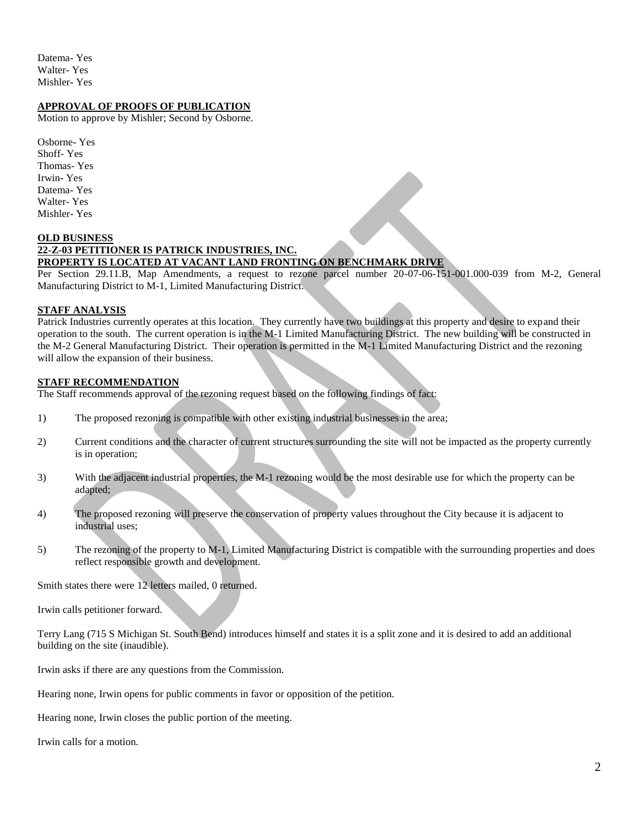Datema- Yes Walter- Yes Mishler- Yes

## **APPROVAL OF PROOFS OF PUBLICATION**

Motion to approve by Mishler; Second by Osborne.

Osborne- Yes Shoff- Yes Thomas- Yes Irwin- Yes Datema- Yes Walter- Yes Mishler- Yes

#### **OLD BUSINESS**

# **22-Z-03 PETITIONER IS PATRICK INDUSTRIES, INC.**

## **PROPERTY IS LOCATED AT VACANT LAND FRONTING ON BENCHMARK DRIVE**

Per Section 29.11.B, Map Amendments, a request to rezone parcel number 20-07-06-151-001.000-039 from M-2, General Manufacturing District to M-1, Limited Manufacturing District.

#### **STAFF ANALYSIS**

Patrick Industries currently operates at this location. They currently have two buildings at this property and desire to expand their operation to the south. The current operation is in the M-1 Limited Manufacturing District. The new building will be constructed in the M-2 General Manufacturing District. Their operation is permitted in the M-1 Limited Manufacturing District and the rezoning will allow the expansion of their business.

#### **STAFF RECOMMENDATION**

The Staff recommends approval of the rezoning request based on the following findings of fact:

- 1) The proposed rezoning is compatible with other existing industrial businesses in the area;
- 2) Current conditions and the character of current structures surrounding the site will not be impacted as the property currently is in operation;
- 3) With the adjacent industrial properties, the M-1 rezoning would be the most desirable use for which the property can be adapted;
- 4) The proposed rezoning will preserve the conservation of property values throughout the City because it is adjacent to industrial uses;
- 5) The rezoning of the property to M-1, Limited Manufacturing District is compatible with the surrounding properties and does reflect responsible growth and development.

Smith states there were 12 letters mailed, 0 returned.

Irwin calls petitioner forward.

Terry Lang (715 S Michigan St. South Bend) introduces himself and states it is a split zone and it is desired to add an additional building on the site (inaudible).

Irwin asks if there are any questions from the Commission.

Hearing none, Irwin opens for public comments in favor or opposition of the petition.

Hearing none, Irwin closes the public portion of the meeting.

Irwin calls for a motion.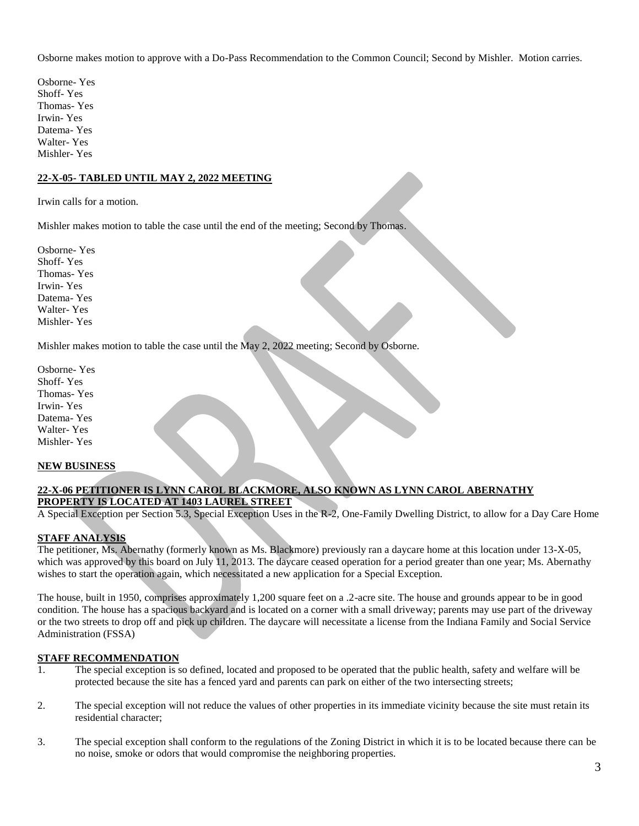Osborne makes motion to approve with a Do-Pass Recommendation to the Common Council; Second by Mishler. Motion carries.

Osborne- Yes Shoff- Yes Thomas- Yes Irwin- Yes Datema- Yes Walter- Yes Mishler- Yes

## **22-X-05- TABLED UNTIL MAY 2, 2022 MEETING**

Irwin calls for a motion.

Mishler makes motion to table the case until the end of the meeting; Second by Thomas.

Osborne- Yes Shoff- Yes Thomas- Yes Irwin- Yes Datema- Yes Walter- Yes Mishler- Yes

Mishler makes motion to table the case until the May 2, 2022 meeting; Second by Osborne.

Osborne- Yes Shoff- Yes Thomas- Yes Irwin- Yes Datema- Yes Walter- Yes Mishler- Yes

#### **NEW BUSINESS**

## **22-X-06 PETITIONER IS LYNN CAROL BLACKMORE, ALSO KNOWN AS LYNN CAROL ABERNATHY PROPERTY IS LOCATED AT 1403 LAUREL STREET**

A Special Exception per Section 5.3, Special Exception Uses in the R-2, One-Family Dwelling District, to allow for a Day Care Home

## **STAFF ANALYSIS**

The petitioner, Ms. Abernathy (formerly known as Ms. Blackmore) previously ran a daycare home at this location under 13-X-05, which was approved by this board on July 11, 2013. The daycare ceased operation for a period greater than one year; Ms. Abernathy wishes to start the operation again, which necessitated a new application for a Special Exception.

The house, built in 1950, comprises approximately 1,200 square feet on a .2-acre site. The house and grounds appear to be in good condition. The house has a spacious backyard and is located on a corner with a small driveway; parents may use part of the driveway or the two streets to drop off and pick up children. The daycare will necessitate a license from the Indiana Family and Social Service Administration (FSSA)

## **STAFF RECOMMENDATION**

- 1. The special exception is so defined, located and proposed to be operated that the public health, safety and welfare will be protected because the site has a fenced yard and parents can park on either of the two intersecting streets;
- 2. The special exception will not reduce the values of other properties in its immediate vicinity because the site must retain its residential character;
- 3. The special exception shall conform to the regulations of the Zoning District in which it is to be located because there can be no noise, smoke or odors that would compromise the neighboring properties.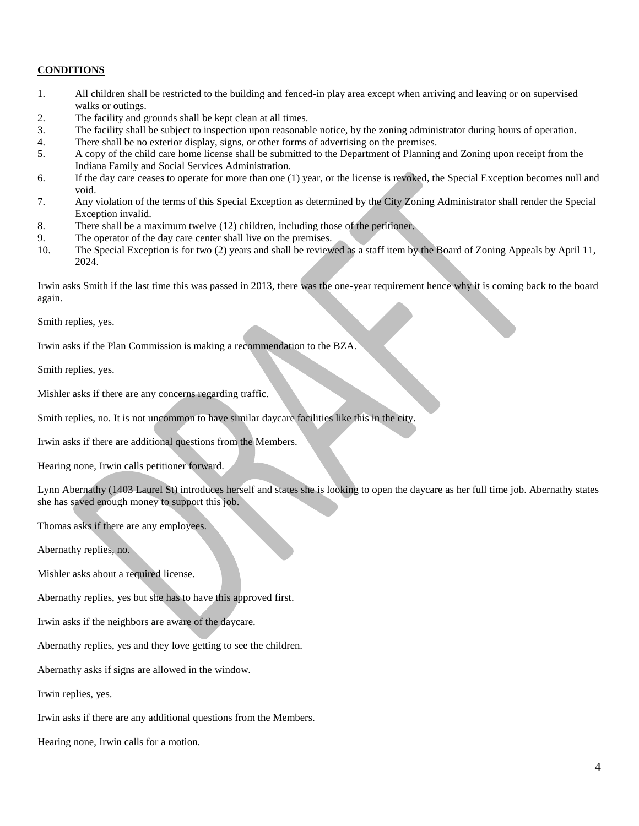## **CONDITIONS**

- 1. All children shall be restricted to the building and fenced-in play area except when arriving and leaving or on supervised walks or outings.
- 2. The facility and grounds shall be kept clean at all times.
- 3. The facility shall be subject to inspection upon reasonable notice, by the zoning administrator during hours of operation.
- 4. There shall be no exterior display, signs, or other forms of advertising on the premises.
- 5. A copy of the child care home license shall be submitted to the Department of Planning and Zoning upon receipt from the Indiana Family and Social Services Administration.
- 6. If the day care ceases to operate for more than one (1) year, or the license is revoked, the Special Exception becomes null and void.
- 7. Any violation of the terms of this Special Exception as determined by the City Zoning Administrator shall render the Special Exception invalid.
- 8. There shall be a maximum twelve (12) children, including those of the petitioner.
- 9. The operator of the day care center shall live on the premises.
- 10. The Special Exception is for two (2) years and shall be reviewed as a staff item by the Board of Zoning Appeals by April 11, 2024.

Irwin asks Smith if the last time this was passed in 2013, there was the one-year requirement hence why it is coming back to the board again.

Smith replies, yes.

Irwin asks if the Plan Commission is making a recommendation to the BZA.

Smith replies, yes.

Mishler asks if there are any concerns regarding traffic.

Smith replies, no. It is not uncommon to have similar daycare facilities like this in the city.

Irwin asks if there are additional questions from the Members.

Hearing none, Irwin calls petitioner forward.

Lynn Abernathy (1403 Laurel St) introduces herself and states she is looking to open the daycare as her full time job. Abernathy states she has saved enough money to support this job.

Thomas asks if there are any employees.

Abernathy replies, no.

Mishler asks about a required license.

Abernathy replies, yes but she has to have this approved first.

Irwin asks if the neighbors are aware of the daycare.

Abernathy replies, yes and they love getting to see the children.

Abernathy asks if signs are allowed in the window.

Irwin replies, yes.

Irwin asks if there are any additional questions from the Members.

Hearing none, Irwin calls for a motion.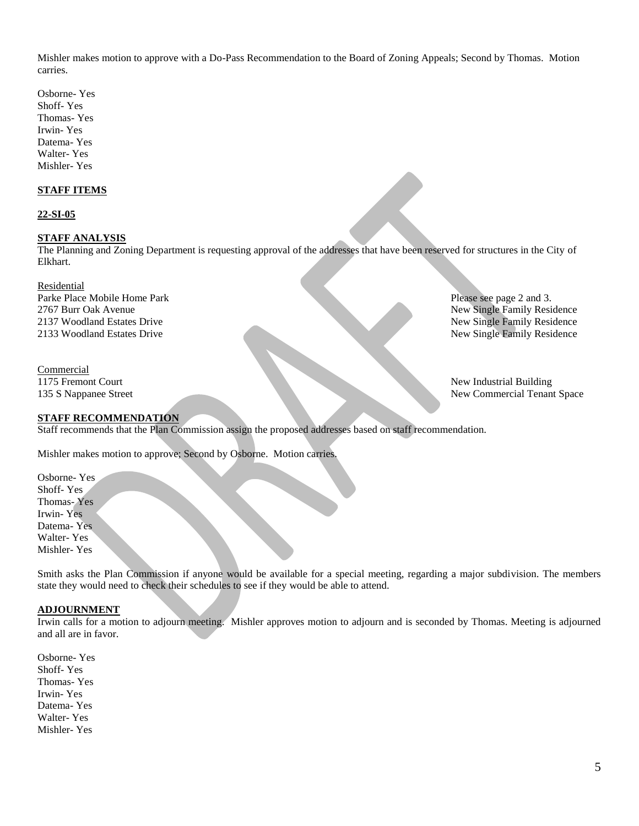Mishler makes motion to approve with a Do-Pass Recommendation to the Board of Zoning Appeals; Second by Thomas. Motion carries.

Osborne- Yes Shoff- Yes Thomas- Yes Irwin- Yes Datema- Yes Walter- Yes Mishler- Yes

## **STAFF ITEMS**

#### **22-SI-05**

#### **STAFF ANALYSIS**

The Planning and Zoning Department is requesting approval of the addresses that have been reserved for structures in the City of Elkhart.

Residential Parke Place Mobile Home Park Place See page 2 and 3. 2767 Burr Oak Avenue New Single Family Residence 2137 Woodland Estates Drive New Single Family Residence 2133 Woodland Estates Drive New Single Family Residence

Commercial 1175 Fremont Court New Industrial Building

135 S Nappanee Street New Commercial Tenant Space

#### **STAFF RECOMMENDATION**

Staff recommends that the Plan Commission assign the proposed addresses based on staff recommendation.

Mishler makes motion to approve; Second by Osborne. Motion carries.

Osborne- Yes Shoff- Yes Thomas- Yes Irwin- Yes Datema- Yes Walter- Yes Mishler- Yes

Smith asks the Plan Commission if anyone would be available for a special meeting, regarding a major subdivision. The members state they would need to check their schedules to see if they would be able to attend.

## **ADJOURNMENT**

Irwin calls for a motion to adjourn meeting. Mishler approves motion to adjourn and is seconded by Thomas. Meeting is adjourned and all are in favor.

Osborne- Yes Shoff- Yes Thomas- Yes Irwin- Yes Datema- Yes Walter- Yes Mishler- Yes